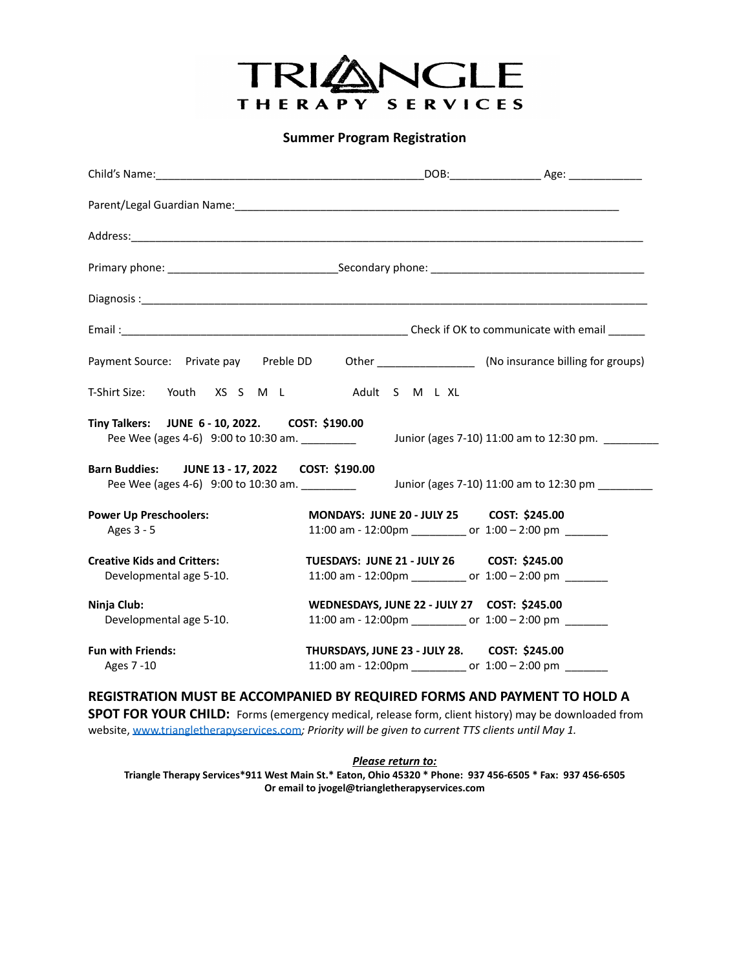

**Summer Program Registration**

| Payment Source: Private pay Preble DD                                                             |                                              | Other _______________________ (No insurance billing for groups) |
|---------------------------------------------------------------------------------------------------|----------------------------------------------|-----------------------------------------------------------------|
| T-Shirt Size: Youth XS S M L Adult S M L XL                                                       |                                              |                                                                 |
| Tiny Talkers: JUNE 6 - 10, 2022. COST: \$190.00<br>Pee Wee (ages 4-6) 9:00 to 10:30 am. _________ |                                              | Junior (ages 7-10) 11:00 am to 12:30 pm.                        |
| Barn Buddies: JUNE 13 - 17, 2022 COST: \$190.00<br>Pee Wee (ages 4-6) 9:00 to 10:30 am.           |                                              | Junior (ages 7-10) 11:00 am to 12:30 pm                         |
| <b>Power Up Preschoolers:</b><br>Ages 3 - 5                                                       | MONDAYS: JUNE 20 - JULY 25 COST: \$245.00    | 11:00 am - 12:00pm ___________ or 1:00 - 2:00 pm _______        |
| <b>Creative Kids and Critters:</b><br>Developmental age 5-10.                                     | TUESDAYS: JUNE 21 - JULY 26 COST: \$245.00   | 11:00 am - 12:00pm ___________ or 1:00 - 2:00 pm _______        |
| Ninja Club:<br>Developmental age 5-10.                                                            | WEDNESDAYS, JUNE 22 - JULY 27 COST: \$245.00 | 11:00 am - 12:00pm ___________ or 1:00 - 2:00 pm _______        |
| <b>Fun with Friends:</b><br>Ages 7 -10                                                            | THURSDAYS, JUNE 23 - JULY 28. COST: \$245.00 | 11:00 am - 12:00pm ___________ or $1:00 - 2:00$ pm _______      |

**REGISTRATION MUST BE ACCOMPANIED BY REQUIRED FORMS AND PAYMENT TO HOLD A**

**SPOT FOR YOUR CHILD:** Forms (emergency medical, release form, client history) may be downloaded from website, [www.triangletherapyservices.com](http://www.triangletherapyservices.com)*; Priority will be given to current TTS clients until May 1.*

*Please return to:*

**Triangle Therapy Services\*911 West Main St.\* Eaton, Ohio 45320 \* Phone: 937 456-6505 \* Fax: 937 456-6505 Or email to jvogel@triangletherapyservices.com**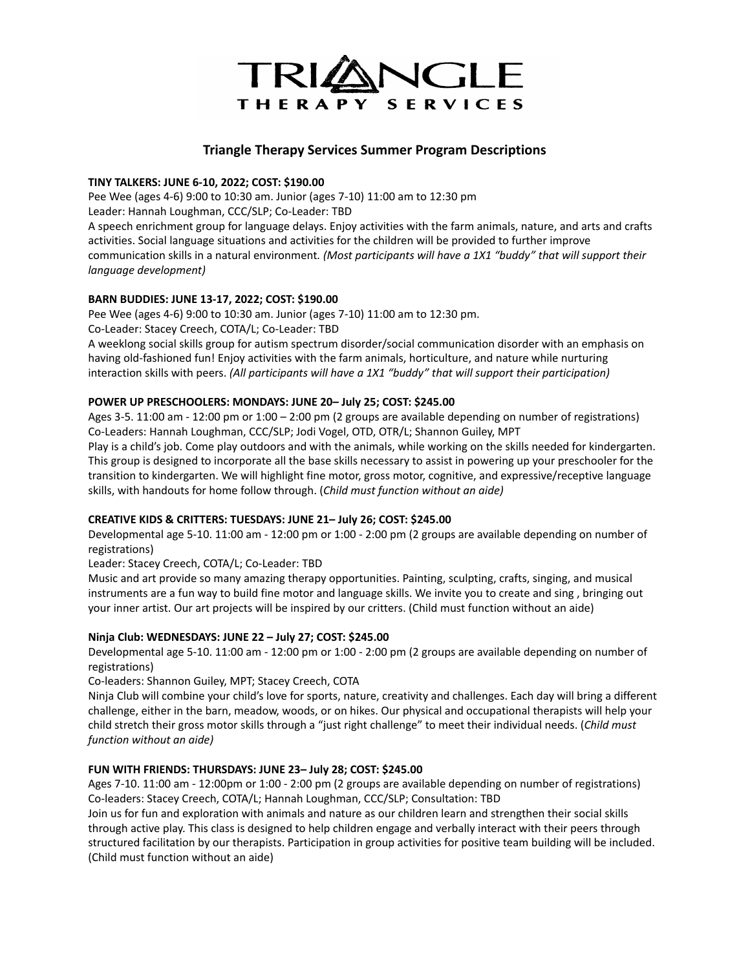

# **Triangle Therapy Services Summer Program Descriptions**

#### **TINY TALKERS: JUNE 6-10, 2022; COST: \$190.00**

Pee Wee (ages 4-6) 9:00 to 10:30 am. Junior (ages 7-10) 11:00 am to 12:30 pm Leader: Hannah Loughman, CCC/SLP; Co-Leader: TBD A speech enrichment group for language delays. Enjoy activities with the farm animals, nature, and arts and crafts activities. Social language situations and activities for the children will be provided to further improve communication skills in a natural environment*. (Most participants will have a 1X1 "buddy" that will support their language development)*

## **BARN BUDDIES: JUNE 13-17, 2022; COST: \$190.00**

Pee Wee (ages 4-6) 9:00 to 10:30 am. Junior (ages 7-10) 11:00 am to 12:30 pm.

Co-Leader: Stacey Creech, COTA/L; Co-Leader: TBD

A weeklong social skills group for autism spectrum disorder/social communication disorder with an emphasis on having old-fashioned fun! Enjoy activities with the farm animals, horticulture, and nature while nurturing interaction skills with peers. *(All participants will have a 1X1 "buddy" that will support their participation)*

#### **POWER UP PRESCHOOLERS: MONDAYS: JUNE 20– July 25; COST: \$245.00**

Ages 3-5. 11:00 am - 12:00 pm or 1:00 – 2:00 pm (2 groups are available depending on number of registrations) Co-Leaders: Hannah Loughman, CCC/SLP; Jodi Vogel, OTD, OTR/L; Shannon Guiley, MPT

Play is a child's job. Come play outdoors and with the animals, while working on the skills needed for kindergarten. This group is designed to incorporate all the base skills necessary to assist in powering up your preschooler for the transition to kindergarten. We will highlight fine motor, gross motor, cognitive, and expressive/receptive language skills, with handouts for home follow through. (*Child must function without an aide)*

#### **CREATIVE KIDS & CRITTERS: TUESDAYS: JUNE 21– July 26; COST: \$245.00**

Developmental age 5-10. 11:00 am - 12:00 pm or 1:00 - 2:00 pm (2 groups are available depending on number of registrations)

#### Leader: Stacey Creech, COTA/L; Co-Leader: TBD

Music and art provide so many amazing therapy opportunities. Painting, sculpting, crafts, singing, and musical instruments are a fun way to build fine motor and language skills. We invite you to create and sing , bringing out your inner artist. Our art projects will be inspired by our critters. (Child must function without an aide)

#### **Ninja Club: WEDNESDAYS: JUNE 22 – July 27; COST: \$245.00**

Developmental age 5-10. 11:00 am - 12:00 pm or 1:00 - 2:00 pm (2 groups are available depending on number of registrations)

Co-leaders: Shannon Guiley, MPT; Stacey Creech, COTA

Ninja Club will combine your child's love for sports, nature, creativity and challenges. Each day will bring a different challenge, either in the barn, meadow, woods, or on hikes. Our physical and occupational therapists will help your child stretch their gross motor skills through a "just right challenge" to meet their individual needs. (*Child must function without an aide)*

#### **FUN WITH FRIENDS: THURSDAYS: JUNE 23– July 28; COST: \$245.00**

Ages 7-10. 11:00 am - 12:00pm or 1:00 - 2:00 pm (2 groups are available depending on number of registrations) Co-leaders: Stacey Creech, COTA/L; Hannah Loughman, CCC/SLP; Consultation: TBD

Join us for fun and exploration with animals and nature as our children learn and strengthen their social skills through active play. This class is designed to help children engage and verbally interact with their peers through structured facilitation by our therapists. Participation in group activities for positive team building will be included. (Child must function without an aide)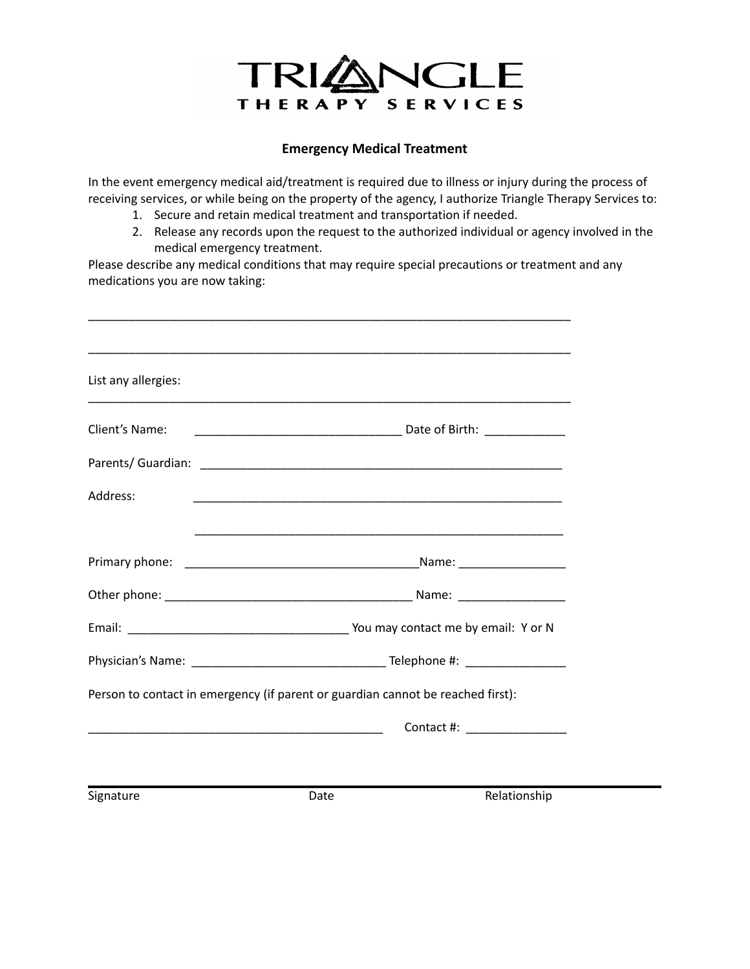

# **Emergency Medical Treatment**

In the event emergency medical aid/treatment is required due to illness or injury during the process of receiving services, or while being on the property of the agency, I authorize Triangle Therapy Services to:

- 1. Secure and retain medical treatment and transportation if needed.
- 2. Release any records upon the request to the authorized individual or agency involved in the medical emergency treatment.

Please describe any medical conditions that may require special precautions or treatment and any medications you are now taking:

| List any allergies:                                                             |      |                                                             |
|---------------------------------------------------------------------------------|------|-------------------------------------------------------------|
| Client's Name:                                                                  |      |                                                             |
|                                                                                 |      |                                                             |
| Address:                                                                        |      | <u> 1989 - Johann Stoff, amerikansk politiker (d. 1989)</u> |
|                                                                                 |      |                                                             |
|                                                                                 |      |                                                             |
|                                                                                 |      |                                                             |
|                                                                                 |      |                                                             |
|                                                                                 |      |                                                             |
| Person to contact in emergency (if parent or guardian cannot be reached first): |      |                                                             |
|                                                                                 |      | Contact #: New York 2014                                    |
|                                                                                 |      |                                                             |
| Signature                                                                       | Date | Relationship                                                |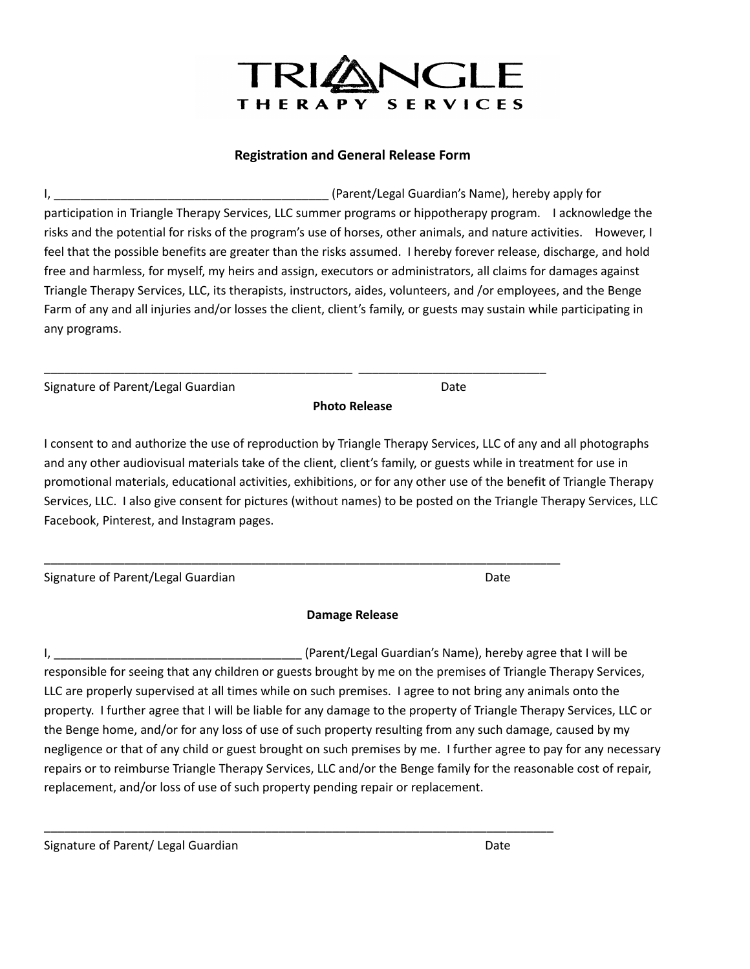# NGLE THERAPY SERVICES

# **Registration and General Release Form**

I, \_\_\_\_\_\_\_\_\_\_\_\_\_\_\_\_\_\_\_\_\_\_\_\_\_\_\_\_\_\_\_\_\_\_\_\_\_\_\_\_\_ (Parent/Legal Guardian's Name), hereby apply for participation in Triangle Therapy Services, LLC summer programs or hippotherapy program. I acknowledge the risks and the potential for risks of the program's use of horses, other animals, and nature activities. However, I feel that the possible benefits are greater than the risks assumed. I hereby forever release, discharge, and hold free and harmless, for myself, my heirs and assign, executors or administrators, all claims for damages against Triangle Therapy Services, LLC, its therapists, instructors, aides, volunteers, and /or employees, and the Benge Farm of any and all injuries and/or losses the client, client's family, or guests may sustain while participating in any programs.

| Signature of Parent/Legal Guardian | Date |
|------------------------------------|------|
|                                    |      |

**Photo Release**

\_\_\_\_\_\_\_\_\_\_\_\_\_\_\_\_\_\_\_\_\_\_\_\_\_\_\_\_\_\_\_\_\_\_\_\_\_\_\_\_\_\_\_\_\_\_ \_\_\_\_\_\_\_\_\_\_\_\_\_\_\_\_\_\_\_\_\_\_\_\_\_\_\_\_

\_\_\_\_\_\_\_\_\_\_\_\_\_\_\_\_\_\_\_\_\_\_\_\_\_\_\_\_\_\_\_\_\_\_\_\_\_\_\_\_\_\_\_\_\_\_\_\_\_\_\_\_\_\_\_\_\_\_\_\_\_\_\_\_\_\_\_\_\_\_\_\_\_\_\_\_\_

\_\_\_\_\_\_\_\_\_\_\_\_\_\_\_\_\_\_\_\_\_\_\_\_\_\_\_\_\_\_\_\_\_\_\_\_\_\_\_\_\_\_\_\_\_\_\_\_\_\_\_\_\_\_\_\_\_\_\_\_\_\_\_\_\_\_\_\_\_\_\_\_\_\_\_\_

I consent to and authorize the use of reproduction by Triangle Therapy Services, LLC of any and all photographs and any other audiovisual materials take of the client, client's family, or guests while in treatment for use in promotional materials, educational activities, exhibitions, or for any other use of the benefit of Triangle Therapy Services, LLC. I also give consent for pictures (without names) to be posted on the Triangle Therapy Services, LLC Facebook, Pinterest, and Instagram pages.

| Signature of Parent/Legal Guardian | Date |
|------------------------------------|------|
|                                    |      |

**Damage Release**

I, \_\_\_\_\_\_\_\_\_\_\_\_\_\_\_\_\_\_\_\_\_\_\_\_\_\_\_\_\_\_\_\_\_\_\_\_\_ (Parent/Legal Guardian's Name), hereby agree that I will be responsible for seeing that any children or guests brought by me on the premises of Triangle Therapy Services, LLC are properly supervised at all times while on such premises. I agree to not bring any animals onto the property. I further agree that I will be liable for any damage to the property of Triangle Therapy Services, LLC or the Benge home, and/or for any loss of use of such property resulting from any such damage, caused by my negligence or that of any child or guest brought on such premises by me. I further agree to pay for any necessary repairs or to reimburse Triangle Therapy Services, LLC and/or the Benge family for the reasonable cost of repair, replacement, and/or loss of use of such property pending repair or replacement.

Signature of Parent/ Legal Guardian Date Date of Parent/ Legal Guardian Date Date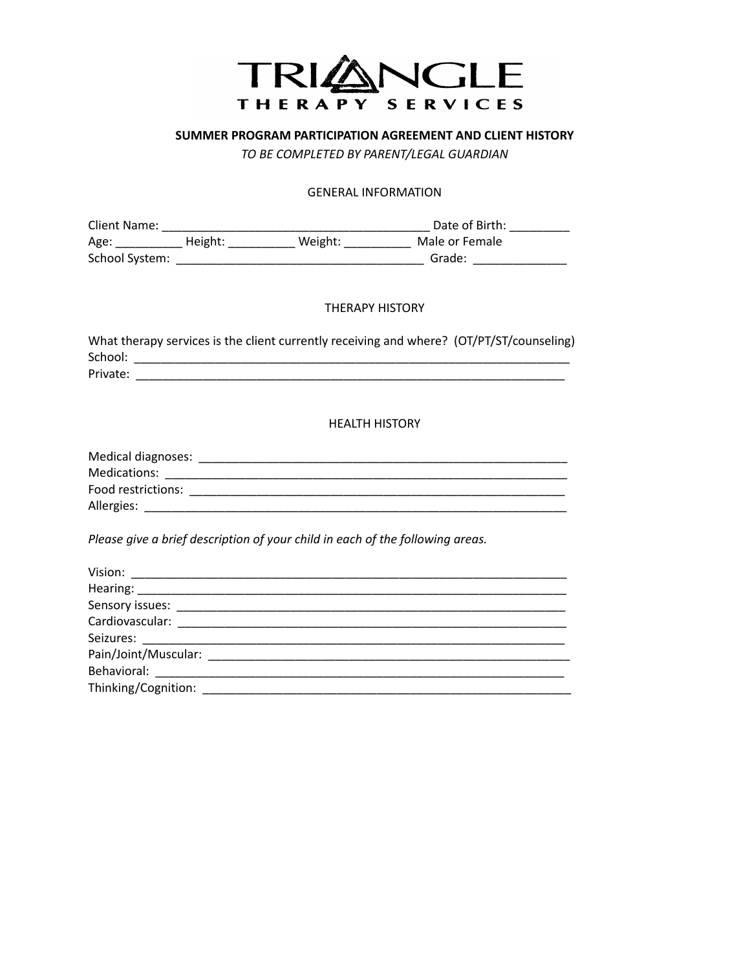

# **SUMMER PROGRAM PARTICIPATION AGREEMENT AND CLIENT HISTORY**

*TO BE COMPLETED BY PARENT/LEGAL GUARDIAN*

## GENERAL INFORMATION

| Client Name:   |         |         | Date of Birth: |  |
|----------------|---------|---------|----------------|--|
| Age:           | Height: | Weight: | Male or Female |  |
| School System: |         |         | Grade:         |  |

## THERAPY HISTORY

| What therapy services is the client currently receiving and where? (OT/PT/ST/counseling) |  |
|------------------------------------------------------------------------------------------|--|
| School:                                                                                  |  |
| Private:                                                                                 |  |

HEALTH HISTORY

| Medical diagnoses: |  |
|--------------------|--|
| Medications:       |  |
| Food restrictions: |  |
| Allergies:         |  |

*Please give a brief description of your child in each of the following areas.*

| Pain/Joint/Muscular: 2008               |  |
|-----------------------------------------|--|
|                                         |  |
| Thinking/Cognition: Thinking/Cognition: |  |